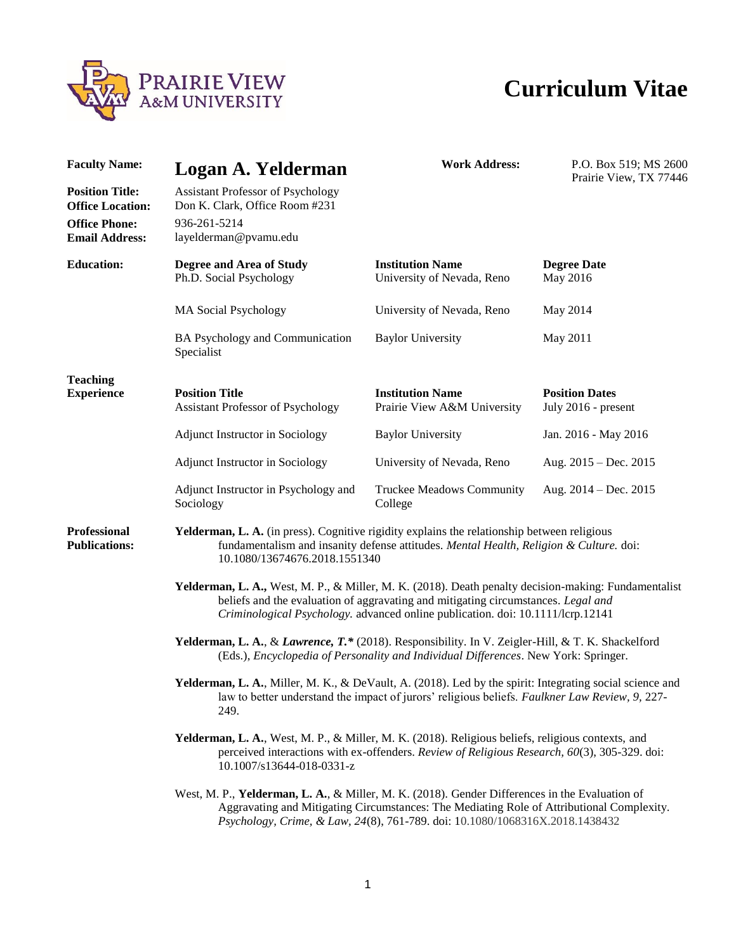

## **Curriculum Vitae**

| <b>Faculty Name:</b>                                                                               | Logan A. Yelderman                                                                                                                                                                                                                                                           | <b>Work Address:</b>                                   | P.O. Box 519; MS 2600<br>Prairie View, TX 77446 |
|----------------------------------------------------------------------------------------------------|------------------------------------------------------------------------------------------------------------------------------------------------------------------------------------------------------------------------------------------------------------------------------|--------------------------------------------------------|-------------------------------------------------|
| <b>Position Title:</b><br><b>Office Location:</b><br><b>Office Phone:</b><br><b>Email Address:</b> | <b>Assistant Professor of Psychology</b><br>Don K. Clark, Office Room #231<br>936-261-5214<br>layelderman@pvamu.edu                                                                                                                                                          |                                                        |                                                 |
| <b>Education:</b>                                                                                  | Degree and Area of Study<br>Ph.D. Social Psychology                                                                                                                                                                                                                          | <b>Institution Name</b><br>University of Nevada, Reno  | <b>Degree Date</b><br>May 2016                  |
|                                                                                                    | <b>MA Social Psychology</b>                                                                                                                                                                                                                                                  | University of Nevada, Reno                             | May 2014                                        |
|                                                                                                    | BA Psychology and Communication<br>Specialist                                                                                                                                                                                                                                | <b>Baylor University</b>                               | May 2011                                        |
| <b>Teaching</b><br><b>Experience</b>                                                               | <b>Position Title</b><br><b>Assistant Professor of Psychology</b>                                                                                                                                                                                                            | <b>Institution Name</b><br>Prairie View A&M University | <b>Position Dates</b><br>July 2016 - present    |
|                                                                                                    | Adjunct Instructor in Sociology                                                                                                                                                                                                                                              | <b>Baylor University</b>                               | Jan. 2016 - May 2016                            |
|                                                                                                    | Adjunct Instructor in Sociology                                                                                                                                                                                                                                              | University of Nevada, Reno                             | Aug. $2015 - Dec. 2015$                         |
|                                                                                                    | Adjunct Instructor in Psychology and<br>Sociology                                                                                                                                                                                                                            | <b>Truckee Meadows Community</b><br>College            | Aug. $2014 - Dec. 2015$                         |
| <b>Professional</b><br><b>Publications:</b>                                                        | Yelderman, L. A. (in press). Cognitive rigidity explains the relationship between religious<br>fundamentalism and insanity defense attitudes. Mental Health, Religion & Culture. doi:<br>10.1080/13674676.2018.1551340                                                       |                                                        |                                                 |
|                                                                                                    | Yelderman, L. A., West, M. P., & Miller, M. K. (2018). Death penalty decision-making: Fundamentalist<br>beliefs and the evaluation of aggravating and mitigating circumstances. Legal and<br>Criminological Psychology. advanced online publication. doi: 10.1111/lcrp.12141 |                                                        |                                                 |
|                                                                                                    | <b>Yelderman, L. A., &amp; Lawrence, T.*</b> (2018). Responsibility. In V. Zeigler-Hill, & T. K. Shackelford<br>(Eds.), Encyclopedia of Personality and Individual Differences. New York: Springer.                                                                          |                                                        |                                                 |
|                                                                                                    | <b>Yelderman, L. A., Miller, M. K., &amp; DeVault, A. (2018). Led by the spirit: Integrating social science and</b><br>law to better understand the impact of jurors' religious beliefs. Faulkner Law Review, 9, 227-<br>249.                                                |                                                        |                                                 |
|                                                                                                    | Yelderman, L. A., West, M. P., & Miller, M. K. (2018). Religious beliefs, religious contexts, and<br>perceived interactions with ex-offenders. Review of Religious Research, 60(3), 305-329. doi:<br>10.1007/s13644-018-0331-z                                               |                                                        |                                                 |
|                                                                                                    | West, M. P., Yelderman, L. A., & Miller, M. K. (2018). Gender Differences in the Evaluation of<br>Aggravating and Mitigating Circumstances: The Mediating Role of Attributional Complexity.<br>Psychology, Crime, & Law, 24(8), 761-789. doi: 10.1080/1068316X.2018.1438432  |                                                        |                                                 |